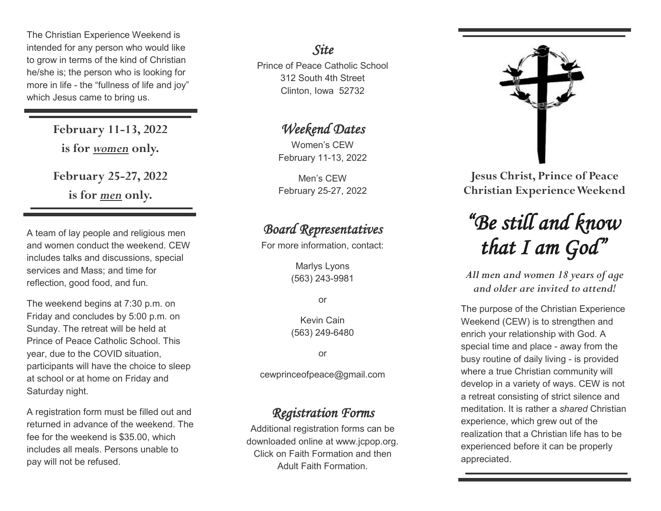The Christian Experience Weekend is intended for any person who would like to grow in terms of the kind of Christian he/she is; the person who is looking for more in life - the "fullness of life and joy" which Jesus came to bring us.

> **February 11-13, 2022 is for** *women* **only. February 25-27, 2022 is for** *men* **only.**

A team of lay people and religious men and women conduct the weekend. CEW includes talks and discussions, special services and Mass; and time for reflection, good food, and fun.

The weekend begins at 7:30 p.m. on Friday and concludes by 5:00 p.m. on Sunday. The retreat will be held at Prince of Peace Catholic School. This year, due to the COVID situation, participants will have the choice to sleep at school or at home on Friday and Saturday night.

A registration form must be filled out and returned in advance of the weekend. The fee for the weekend is \$35.00, which includes all meals. Persons unable to pay will not be refused.

#### *Site*

Prince of Peace Catholic School 312 South 4th Street Clinton, Iowa 52732

## *Weekend Dates*

Women's CEW February 11-13, 2022

Men's CEW February 25-27, 2022

### *Board Representatives*

For more information, contact:

Marlys Lyons (563) 243-9981

or

Kevin Cain (563) 249-6480

or

cewprinceofpeace@gmail.com

### *Registration Forms*

Additional registration forms can be downloaded online at www.jcpop.org. Click on Faith Formation and then Adult Faith Formation.



**Jesus Christ, Prince of Peace Christian Experience Weekend**

# *"Be still and know that I am God"*

*All men and women 18 years of age and older are invited to attend!*

The purpose of the Christian Experience Weekend (CEW) is to strengthen and enrich your relationship with God. A special time and place - away from the busy routine of daily living - is provided where a true Christian community will develop in a variety of ways. CEW is not a retreat consisting of strict silence and meditation. It is rather a *shared* Christian experience, which grew out of the realization that a Christian life has to be experienced before it can be properly appreciated.